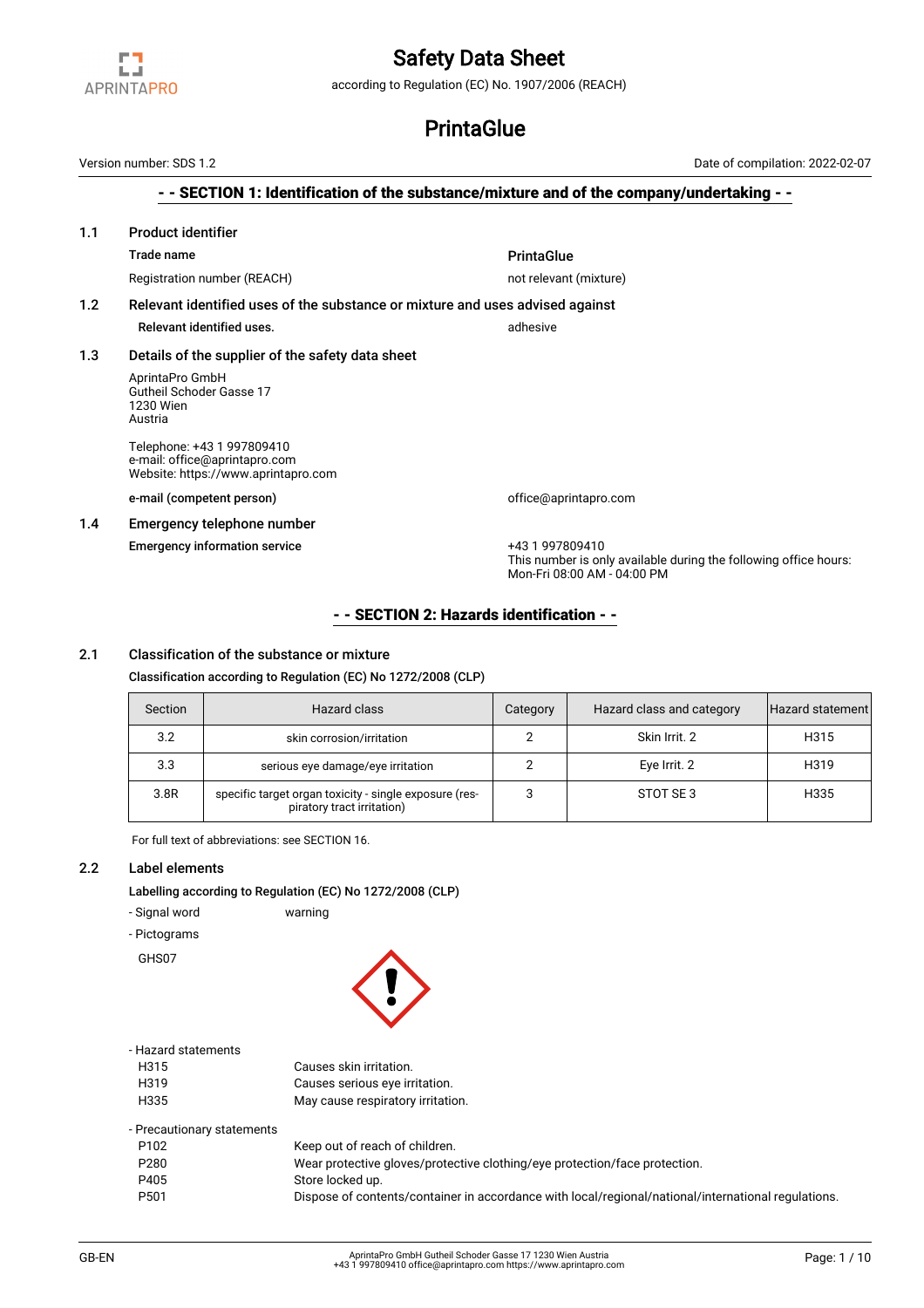

according to Regulation (EC) No. 1907/2006 (REACH)

# **PrintaGlue**

- - SECTION 1: Identification of the substance/mixture and of the company/undertaking - - 1.1 Product identifier Trade name **PrintaGlue** Registration number (REACH) not relevant (mixture) 1.2 Relevant identified uses of the substance or mixture and uses advised against Relevant identified uses. The set of the set of the set of the set of the set of the set of the set of the set o 1.3 Details of the supplier of the safety data sheet AprintaPro GmbH Gutheil Schoder Gasse 17 1230 Wien Austria Telephone: +43 1 997809410 e-mail: office@aprintapro.com Website: https://www.aprintapro.com e-mail (competent person) and the computer office@aprintapro.com 1.4 Emergency telephone number Emergency information service +43 1 997809410 This number is only available during the following office hours: Mon-Fri 08:00 AM - 04:00 PM Version number: SDS 1.2 Date of compilation: 2022-02-07

# - - SECTION 2: Hazards identification - -

# 2.1 Classification of the substance or mixture

Classification according to Regulation (EC) No 1272/2008 (CLP)

| Section | Hazard class                                                                         | Category | Hazard class and category | Hazard statement |
|---------|--------------------------------------------------------------------------------------|----------|---------------------------|------------------|
| 3.2     | skin corrosion/irritation                                                            |          | Skin Irrit, 2             | H315             |
| 3.3     | serious eye damage/eye irritation                                                    |          | Eye Irrit. 2              | H319             |
| 3.8R    | specific target organ toxicity - single exposure (res-<br>piratory tract irritation) |          | STOT SE3                  | H335             |

For full text of abbreviations: see SECTION 16.

#### 2.2 Label elements

Labelling according to Regulation (EC) No 1272/2008 (CLP)

- Signal word warning
- Pictograms

GHS07



#### - Hazard statements

| H315 | Causes skin irritation.           |
|------|-----------------------------------|
| H319 | Causes serious eye irritation.    |
| H335 | May cause respiratory irritation. |

| Keep out of reach of children.<br>P <sub>102</sub><br>Wear protective gloves/protective clothing/eye protection/face protection.<br>P280<br>P405<br>Store locked up. | - Precautionary statements |                                                                                                     |
|----------------------------------------------------------------------------------------------------------------------------------------------------------------------|----------------------------|-----------------------------------------------------------------------------------------------------|
|                                                                                                                                                                      |                            |                                                                                                     |
|                                                                                                                                                                      |                            |                                                                                                     |
|                                                                                                                                                                      |                            |                                                                                                     |
|                                                                                                                                                                      | P <sub>501</sub>           | Dispose of contents/container in accordance with local/regional/national/international regulations. |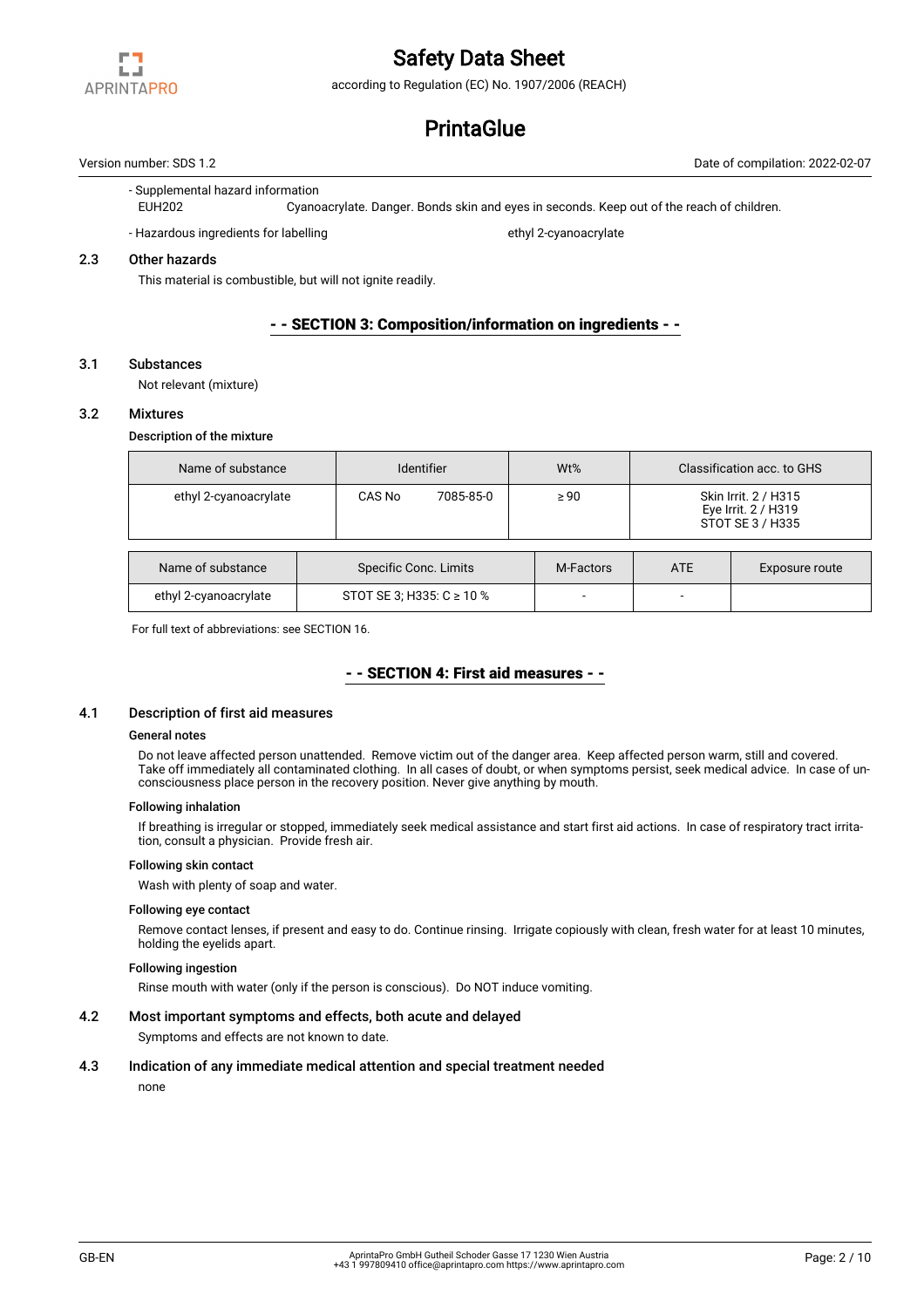

according to Regulation (EC) No. 1907/2006 (REACH)

# **PrintaGlue**

Version number: SDS 1.2 Date of compilation: 2022-02-07

#### - Supplemental hazard information

EUH202 Cyanoacrylate. Danger. Bonds skin and eyes in seconds. Keep out of the reach of children.

- Hazardous ingredients for labelling ethyl 2-cyanoacrylate

### 2.3 Other hazards

This material is combustible, but will not ignite readily.

### - - SECTION 3: Composition/information on ingredients - -

#### 3.1 Substances

Not relevant (mixture)

#### 3.2 Mixtures

#### Description of the mixture

| Name of substance     |        | Identifier                    |           |            | Classification acc. to GHS                                      |  |
|-----------------------|--------|-------------------------------|-----------|------------|-----------------------------------------------------------------|--|
| ethyl 2-cyanoacrylate | CAS No | 7085-85-0                     | $\geq 90$ |            | Skin Irrit. 2 / H315<br>Eye Irrit. 2 / H319<br>STOT SE 3 / H335 |  |
| Name of substance     |        | Specific Conc. Limits         |           | <b>ATE</b> | Exposure route                                                  |  |
| ethyl 2-cyanoacrylate |        | STOT SE 3; H335: $C \ge 10$ % |           |            |                                                                 |  |

For full text of abbreviations: see SECTION 16.

# - - SECTION 4: First aid measures - -

#### 4.1 Description of first aid measures

#### General notes

Do not leave affected person unattended. Remove victim out of the danger area. Keep affected person warm, still and covered. Take off immediately all contaminated clothing. In all cases of doubt, or when symptoms persist, seek medical advice. In case of unconsciousness place person in the recovery position. Never give anything by mouth.

#### Following inhalation

If breathing is irregular or stopped, immediately seek medical assistance and start first aid actions. In case of respiratory tract irritation, consult a physician. Provide fresh air.

#### Following skin contact

Wash with plenty of soap and water.

#### Following eye contact

Remove contact lenses, if present and easy to do. Continue rinsing. Irrigate copiously with clean, fresh water for at least 10 minutes, holding the eyelids apart.

#### Following ingestion

Rinse mouth with water (only if the person is conscious). Do NOT induce vomiting.

# 4.2 Most important symptoms and effects, both acute and delayed

Symptoms and effects are not known to date.

#### 4.3 Indication of any immediate medical attention and special treatment needed

none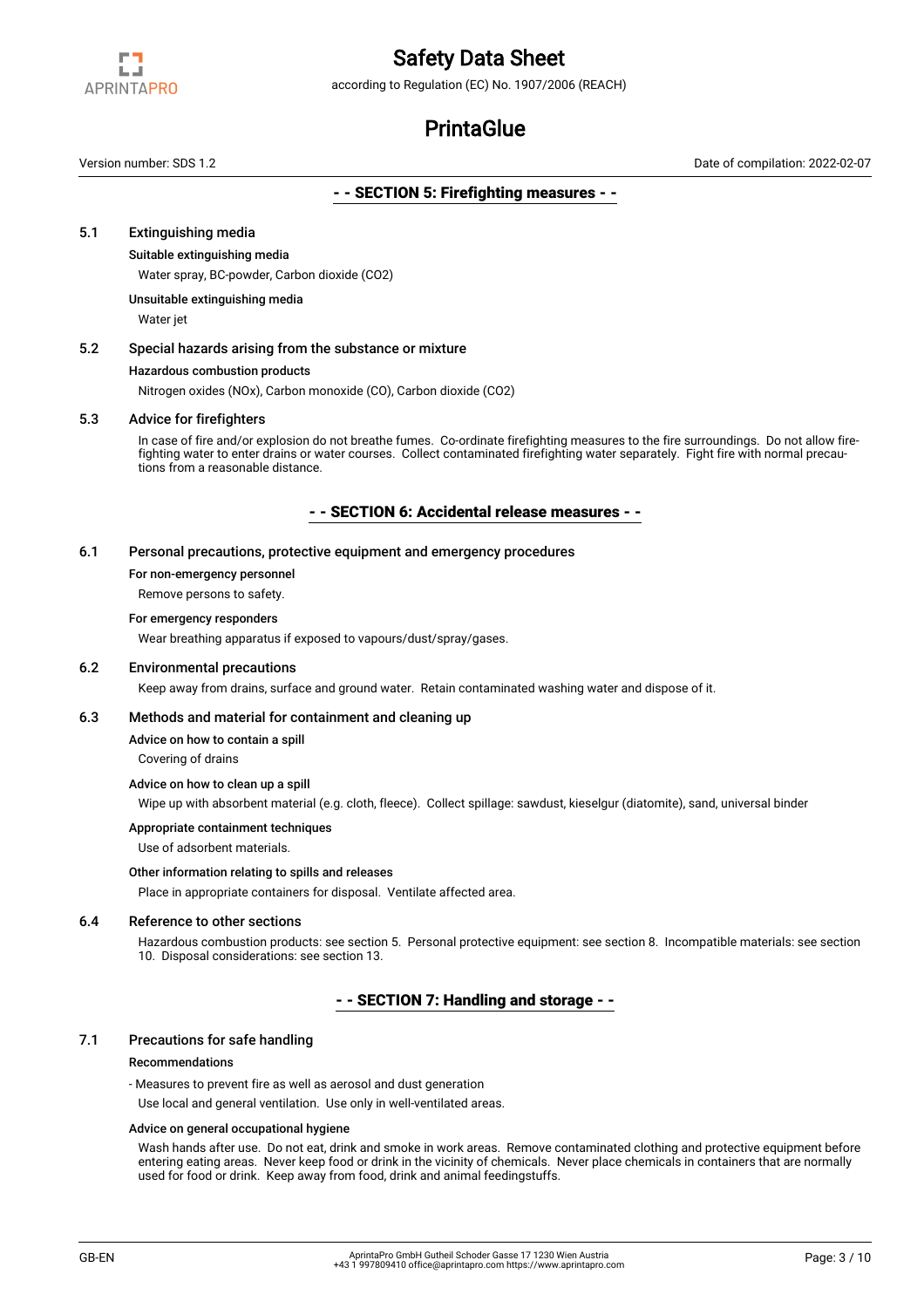

according to Regulation (EC) No. 1907/2006 (REACH)

# **PrintaGlue**

Version number: SDS 1.2 Date of compilation: 2022-02-07

### - - SECTION 5: Firefighting measures - -

#### 5.1 Extinguishing media

#### Suitable extinguishing media

Water spray, BC-powder, Carbon dioxide (CO2)

Unsuitable extinguishing media

Water jet

### 5.2 Special hazards arising from the substance or mixture

#### Hazardous combustion products

Nitrogen oxides (NOx), Carbon monoxide (CO), Carbon dioxide (CO2)

#### 5.3 Advice for firefighters

In case of fire and/or explosion do not breathe fumes. Co-ordinate firefighting measures to the fire surroundings. Do not allow firefighting water to enter drains or water courses. Collect contaminated firefighting water separately. Fight fire with normal precautions from a reasonable distance.

#### - - SECTION 6: Accidental release measures - -

### 6.1 Personal precautions, protective equipment and emergency procedures

For non-emergency personnel

Remove persons to safety.

#### For emergency responders

Wear breathing apparatus if exposed to vapours/dust/spray/gases.

#### 6.2 Environmental precautions

Keep away from drains, surface and ground water. Retain contaminated washing water and dispose of it.

#### 6.3 Methods and material for containment and cleaning up

Advice on how to contain a spill

Covering of drains

#### Advice on how to clean up a spill

Wipe up with absorbent material (e.g. cloth, fleece). Collect spillage: sawdust, kieselgur (diatomite), sand, universal binder

#### Appropriate containment techniques

Use of adsorbent materials.

### Other information relating to spills and releases

Place in appropriate containers for disposal. Ventilate affected area.

#### 6.4 Reference to other sections

Hazardous combustion products: see section 5. Personal protective equipment: see section 8. Incompatible materials: see section 10. Disposal considerations: see section 13.

## - - SECTION 7: Handling and storage - -

#### 7.1 Precautions for safe handling

#### Recommendations

- Measures to prevent fire as well as aerosol and dust generation

Use local and general ventilation. Use only in well-ventilated areas.

#### Advice on general occupational hygiene

Wash hands after use. Do not eat, drink and smoke in work areas. Remove contaminated clothing and protective equipment before entering eating areas. Never keep food or drink in the vicinity of chemicals. Never place chemicals in containers that are normally used for food or drink. Keep away from food, drink and animal feedingstuffs.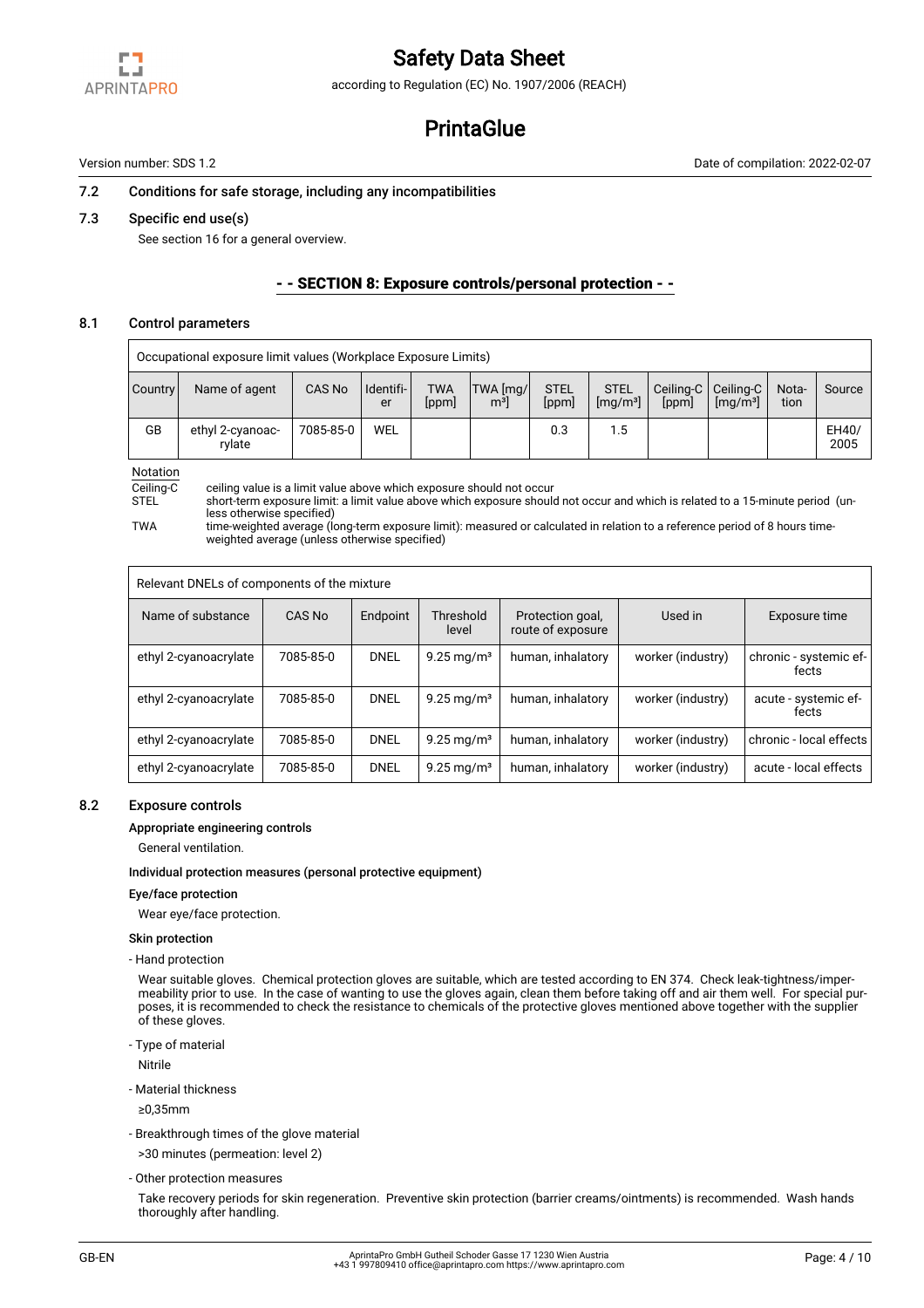

according to Regulation (EC) No. 1907/2006 (REACH)

# **PrintaGlue**

Version number: SDS 1.2 Date of compilation: 2022-02-07

#### 7.2 Conditions for safe storage, including any incompatibilities

#### 7.3 Specific end use(s)

See section 16 for a general overview.

### - - SECTION 8: Exposure controls/personal protection - -

### 8.1 Control parameters

Occupational exposure limit values (Workplace Exposure Limits)

| <b>Country</b> | Name of agent              | CAS No    | I Identifi-<br>er | <b>TWA</b><br>[ppm] | TWA [mg/]<br>m <sup>3</sup> | <b>STEL</b><br>[ppm] | <b>STEL</b><br>[mq/m <sup>3</sup> ] | [ppm] | Ceiling-C   Ceiling-C<br>[mg/m <sup>3</sup> ] | Nota-<br>tion | Source        |
|----------------|----------------------------|-----------|-------------------|---------------------|-----------------------------|----------------------|-------------------------------------|-------|-----------------------------------------------|---------------|---------------|
| GB             | ethyl 2-cyanoac-<br>rvlate | 7085-85-0 | <b>WEL</b>        |                     |                             | 0.3                  | 1.5                                 |       |                                               |               | EH40/<br>2005 |

Notation<br>Ceiling-C

Ceiling-C ceiling value is a limit value above which exposure should not occur<br>STFL short-term exposure limit: a limit value above which exposure should

short-term exposure limit: a limit value above which exposure should not occur and which is related to a 15-minute period (unless otherwise specified)

TWA time-weighted average (long-term exposure limit): measured or calculated in relation to a reference period of 8 hours timeweighted average (unless otherwise specified)

| Relevant DNELs of components of the mixture |           |             |                          |                                       |                   |                                 |
|---------------------------------------------|-----------|-------------|--------------------------|---------------------------------------|-------------------|---------------------------------|
| Name of substance                           | CAS No    | Endpoint    | Threshold<br>level       | Protection goal,<br>route of exposure | Used in           | Exposure time                   |
| ethyl 2-cyanoacrylate                       | 7085-85-0 | <b>DNEL</b> | $9.25 \,\mathrm{mg/m^3}$ | human, inhalatory                     | worker (industry) | chronic - systemic ef-<br>fects |
| ethyl 2-cyanoacrylate                       | 7085-85-0 | <b>DNEL</b> | $9.25 \,\mathrm{mg/m^3}$ | human, inhalatory                     | worker (industry) | acute - systemic ef-<br>fects   |
| ethyl 2-cyanoacrylate                       | 7085-85-0 | <b>DNEL</b> | $9.25 \,\mathrm{mg/m^3}$ | human, inhalatory                     | worker (industry) | chronic - local effects         |
| ethyl 2-cyanoacrylate                       | 7085-85-0 | <b>DNEL</b> | $9.25 \,\mathrm{mg/m^3}$ | human, inhalatory                     | worker (industry) | acute - local effects           |

### 8.2 Exposure controls

#### Appropriate engineering controls

General ventilation.

#### Individual protection measures (personal protective equipment)

#### Eye/face protection

Wear eye/face protection.

#### Skin protection

- Hand protection

Wear suitable gloves. Chemical protection gloves are suitable, which are tested according to EN 374. Check leak-tightness/impermeability prior to use. In the case of wanting to use the gloves again, clean them before taking off and air them well. For special purposes, it is recommended to check the resistance to chemicals of the protective gloves mentioned above together with the supplier of these gloves.

- Type of material

Nitrile

- Material thickness
- ≥0,35mm
- Breakthrough times of the glove material

>30 minutes (permeation: level 2)

- Other protection measures

Take recovery periods for skin regeneration. Preventive skin protection (barrier creams/ointments) is recommended. Wash hands thoroughly after handling.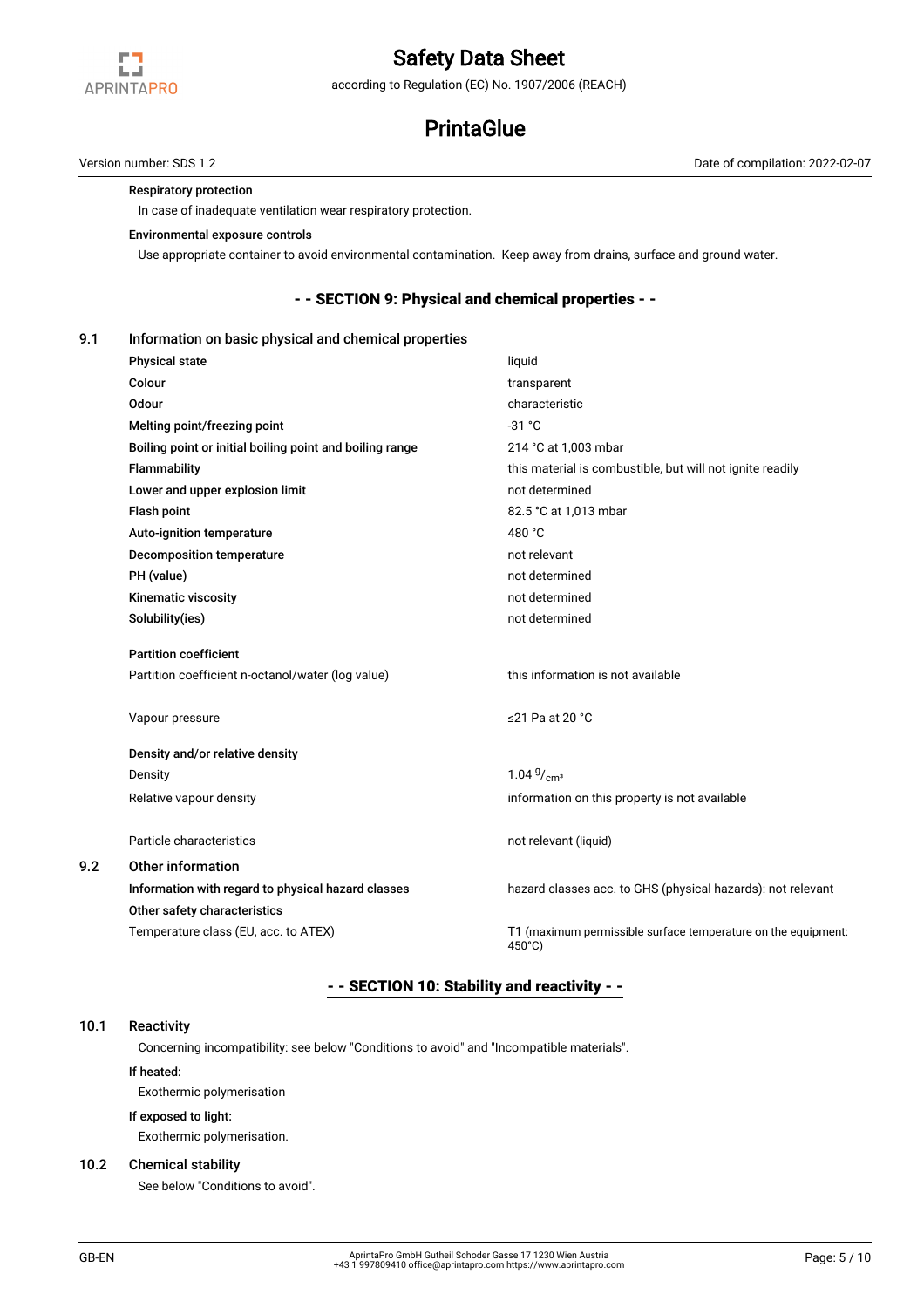

according to Regulation (EC) No. 1907/2006 (REACH)

# **PrintaGlue**

Version number: SDS 1.2 Date of compilation: 2022-02-07

### Respiratory protection

In case of inadequate ventilation wear respiratory protection.

### Environmental exposure controls

Use appropriate container to avoid environmental contamination. Keep away from drains, surface and ground water.

### - - SECTION 9: Physical and chemical properties - -

#### 9.1 Information on basic physical and chemical properties

| <b>Physical state</b>                                    | liquid                                                                  |
|----------------------------------------------------------|-------------------------------------------------------------------------|
| Colour                                                   | transparent                                                             |
| <b>Odour</b>                                             | characteristic                                                          |
| Melting point/freezing point                             | $-31 °C$                                                                |
| Boiling point or initial boiling point and boiling range | 214 °C at 1,003 mbar                                                    |
| Flammability                                             | this material is combustible, but will not ignite readily               |
| Lower and upper explosion limit                          | not determined                                                          |
| Flash point                                              | 82.5 °C at 1,013 mbar                                                   |
| Auto-ignition temperature                                | 480 °C                                                                  |
| Decomposition temperature                                | not relevant                                                            |
| PH (value)                                               | not determined                                                          |
| Kinematic viscosity                                      | not determined                                                          |
| Solubility(ies)                                          | not determined                                                          |
| <b>Partition coefficient</b>                             |                                                                         |
| Partition coefficient n-octanol/water (log value)        | this information is not available                                       |
| Vapour pressure                                          | ≤21 Pa at 20 °C                                                         |
| Density and/or relative density                          |                                                                         |
| Density                                                  | $1.04\frac{g}{cm^3}$                                                    |
| Relative vapour density                                  | information on this property is not available                           |
| Particle characteristics                                 | not relevant (liquid)                                                   |
| Other information                                        |                                                                         |
| Information with regard to physical hazard classes       | hazard classes acc. to GHS (physical hazards): not relevant             |
| Other safety characteristics                             |                                                                         |
| Temperature class (EU, acc. to ATEX)                     | T1 (maximum permissible surface temperature on the equipment:<br>450°C) |

# - - SECTION 10: Stability and reactivity - -

### 10.1 Reactivity

 $9.2$ 

Concerning incompatibility: see below "Conditions to avoid" and "Incompatible materials".

#### If heated:

Exothermic polymerisation

#### If exposed to light:

Exothermic polymerisation.

#### 10.2 Chemical stability

See below "Conditions to avoid".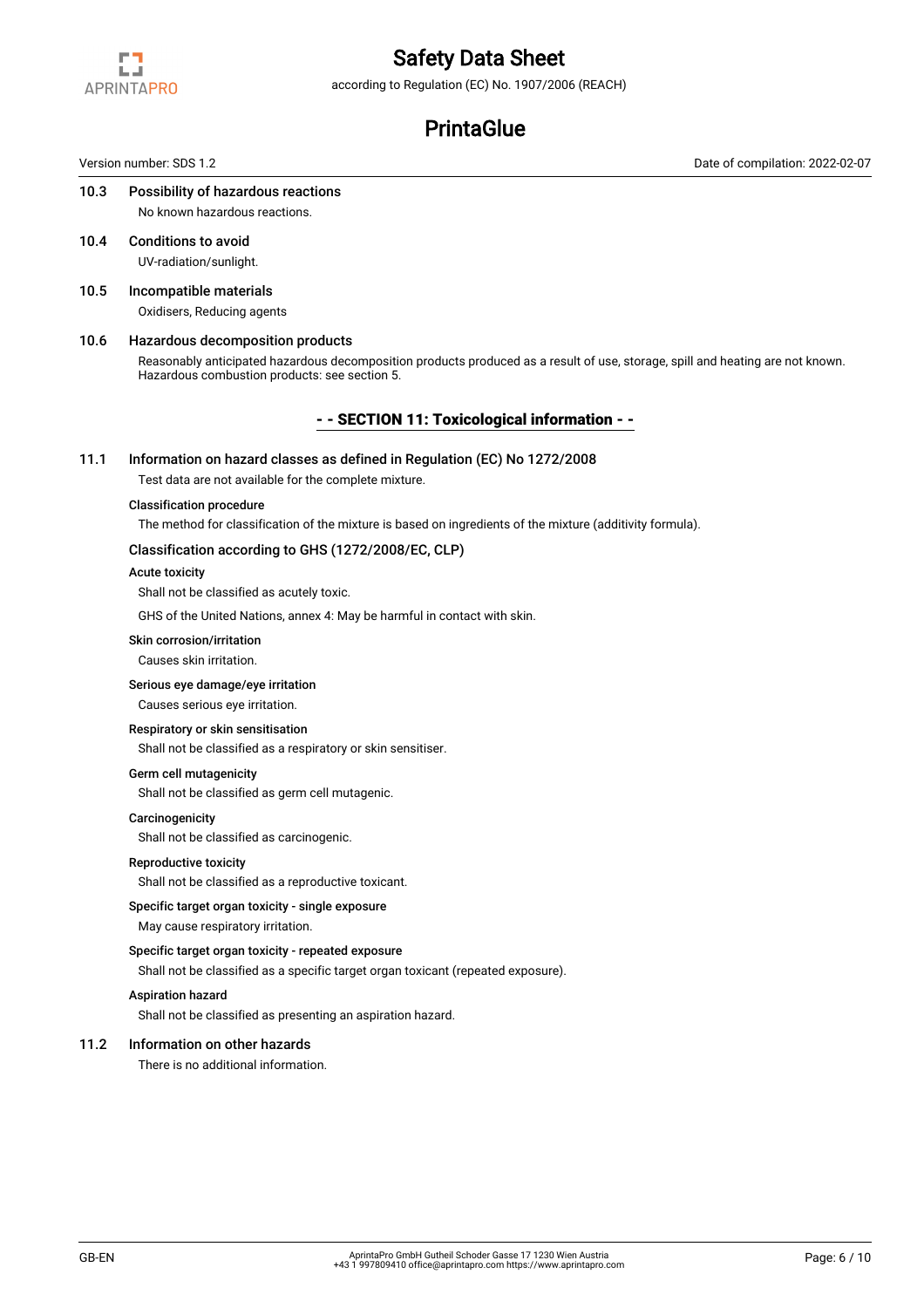

according to Regulation (EC) No. 1907/2006 (REACH)

# **PrintaGlue**

Version number: SDS 1.2 Date of compilation: 2022-02-07

#### 10.3 Possibility of hazardous reactions No known hazardous reactions.

- 10.4 Conditions to avoid UV-radiation/sunlight.
- 10.5 Incompatible materials Oxidisers, Reducing agents

### 10.6 Hazardous decomposition products

Reasonably anticipated hazardous decomposition products produced as a result of use, storage, spill and heating are not known. Hazardous combustion products: see section 5.

# - - SECTION 11: Toxicological information - -

#### 11.1 Information on hazard classes as defined in Regulation (EC) No 1272/2008

Test data are not available for the complete mixture.

#### Classification procedure

The method for classification of the mixture is based on ingredients of the mixture (additivity formula).

## Classification according to GHS (1272/2008/EC, CLP)

### Acute toxicity

Shall not be classified as acutely toxic.

GHS of the United Nations, annex 4: May be harmful in contact with skin.

#### Skin corrosion/irritation

Causes skin irritation.

#### Serious eye damage/eye irritation

Causes serious eye irritation.

# Respiratory or skin sensitisation

Shall not be classified as a respiratory or skin sensitiser.

### Germ cell mutagenicity

Shall not be classified as germ cell mutagenic.

#### **Carcinogenicity**

Shall not be classified as carcinogenic.

### Reproductive toxicity

Shall not be classified as a reproductive toxicant.

#### Specific target organ toxicity - single exposure

May cause respiratory irritation.

#### Specific target organ toxicity - repeated exposure

Shall not be classified as a specific target organ toxicant (repeated exposure).

#### Aspiration hazard

Shall not be classified as presenting an aspiration hazard.

### 11.2 Information on other hazards

There is no additional information.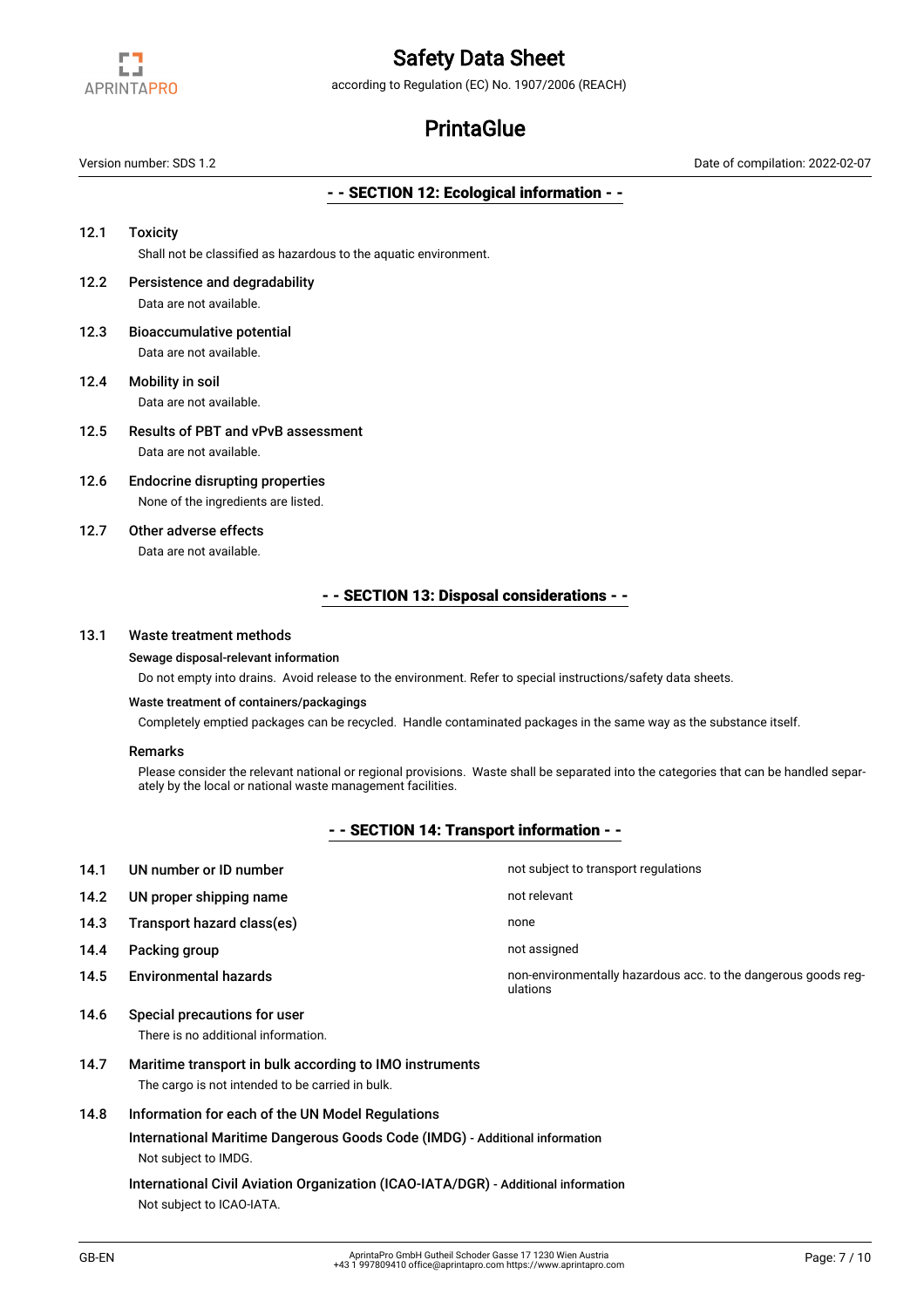

according to Regulation (EC) No. 1907/2006 (REACH)

# **PrintaGlue**

Version number: SDS 1.2 Date of compilation: 2022-02-07

### - - SECTION 12: Ecological information - -

- 12.1 Toxicity Shall not be classified as hazardous to the aquatic environment. 12.2 Persistence and degradability Data are not available. 12.3 Bioaccumulative potential Data are not available. 12.4 Mobility in soil Data are not available. 12.5 Results of PBT and vPvB assessment Data are not available.
- 12.6 Endocrine disrupting properties None of the ingredients are listed.
- 12.7 Other adverse effects Data are not available.

# - - SECTION 13: Disposal considerations - -

#### 13.1 Waste treatment methods

#### Sewage disposal-relevant information

Do not empty into drains. Avoid release to the environment. Refer to special instructions/safety data sheets.

#### Waste treatment of containers/packagings

Completely emptied packages can be recycled. Handle contaminated packages in the same way as the substance itself.

#### Remarks

Please consider the relevant national or regional provisions. Waste shall be separated into the categories that can be handled separately by the local or national waste management facilities.

# - - SECTION 14: Transport information - -

| 14.1 | UN number or ID number                                              | not subject to transport regulations                                       |
|------|---------------------------------------------------------------------|----------------------------------------------------------------------------|
| 14.2 | UN proper shipping name                                             | not relevant                                                               |
| 14.3 | Transport hazard class(es)                                          | none                                                                       |
| 14.4 | Packing group                                                       | not assigned                                                               |
| 14.5 | <b>Environmental hazards</b>                                        | non-environmentally hazardous acc. to the dangerous goods reg-<br>ulations |
| 14.6 | Special precautions for user<br>There is no additional information. |                                                                            |

14.7 Maritime transport in bulk according to IMO instruments The cargo is not intended to be carried in bulk.

# 14.8 Information for each of the UN Model Regulations

International Maritime Dangerous Goods Code (IMDG) - Additional information Not subject to IMDG.

International Civil Aviation Organization (ICAO-IATA/DGR) - Additional information Not subject to ICAO-IATA.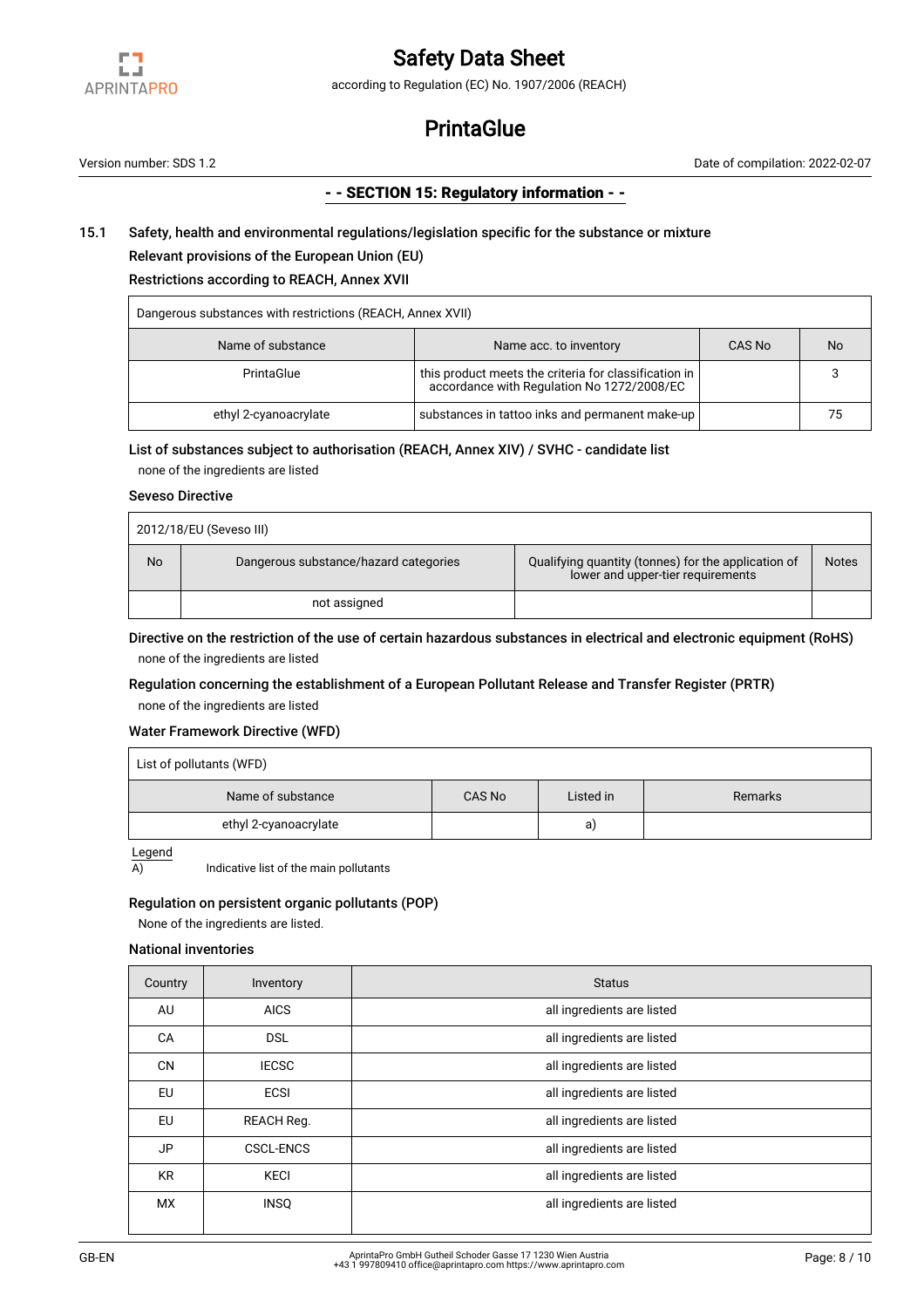

according to Regulation (EC) No. 1907/2006 (REACH)

# **PrintaGlue**

Version number: SDS 1.2 Date of compilation: 2022-02-07

## - - SECTION 15: Regulatory information - -

# 15.1 Safety, health and environmental regulations/legislation specific for the substance or mixture

# Relevant provisions of the European Union (EU)

# Restrictions according to REACH, Annex XVII

| Dangerous substances with restrictions (REACH, Annex XVII) |                                                                                                     |        |    |  |  |
|------------------------------------------------------------|-----------------------------------------------------------------------------------------------------|--------|----|--|--|
| Name of substance                                          | Name acc. to inventory                                                                              | CAS No | No |  |  |
| PrintaGlue                                                 | this product meets the criteria for classification in<br>accordance with Regulation No 1272/2008/EC |        |    |  |  |
| ethyl 2-cyanoacrylate                                      | substances in tattoo inks and permanent make-up                                                     |        | 75 |  |  |

#### List of substances subject to authorisation (REACH, Annex XIV) / SVHC - candidate list

none of the ingredients are listed

### Seveso Directive

|    | 2012/18/EU (Seveso III)               |                                                                                          |              |
|----|---------------------------------------|------------------------------------------------------------------------------------------|--------------|
| No | Dangerous substance/hazard categories | Qualifying quantity (tonnes) for the application of<br>lower and upper-tier requirements | <b>Notes</b> |
|    | not assigned                          |                                                                                          |              |

# Directive on the restriction of the use of certain hazardous substances in electrical and electronic equipment (RoHS) none of the ingredients are listed

# Regulation concerning the establishment of a European Pollutant Release and Transfer Register (PRTR) none of the ingredients are listed

## Water Framework Directive (WFD)

| List of pollutants (WFD) |        |           |         |  |
|--------------------------|--------|-----------|---------|--|
| Name of substance        | CAS No | Listed in | Remarks |  |
| ethyl 2-cyanoacrylate    |        | a)        |         |  |

Legend

 $\overline{A}$  Indicative list of the main pollutants

#### Regulation on persistent organic pollutants (POP)

None of the ingredients are listed.

# National inventories

| Country   | Inventory        | <b>Status</b>              |
|-----------|------------------|----------------------------|
| AU        | <b>AICS</b>      | all ingredients are listed |
| CA        | <b>DSL</b>       | all ingredients are listed |
| <b>CN</b> | <b>IECSC</b>     | all ingredients are listed |
| <b>EU</b> | <b>ECSI</b>      | all ingredients are listed |
| EU        | REACH Reg.       | all ingredients are listed |
| JP        | <b>CSCL-ENCS</b> | all ingredients are listed |
| <b>KR</b> | <b>KECI</b>      | all ingredients are listed |
| <b>MX</b> | <b>INSQ</b>      | all ingredients are listed |
|           |                  |                            |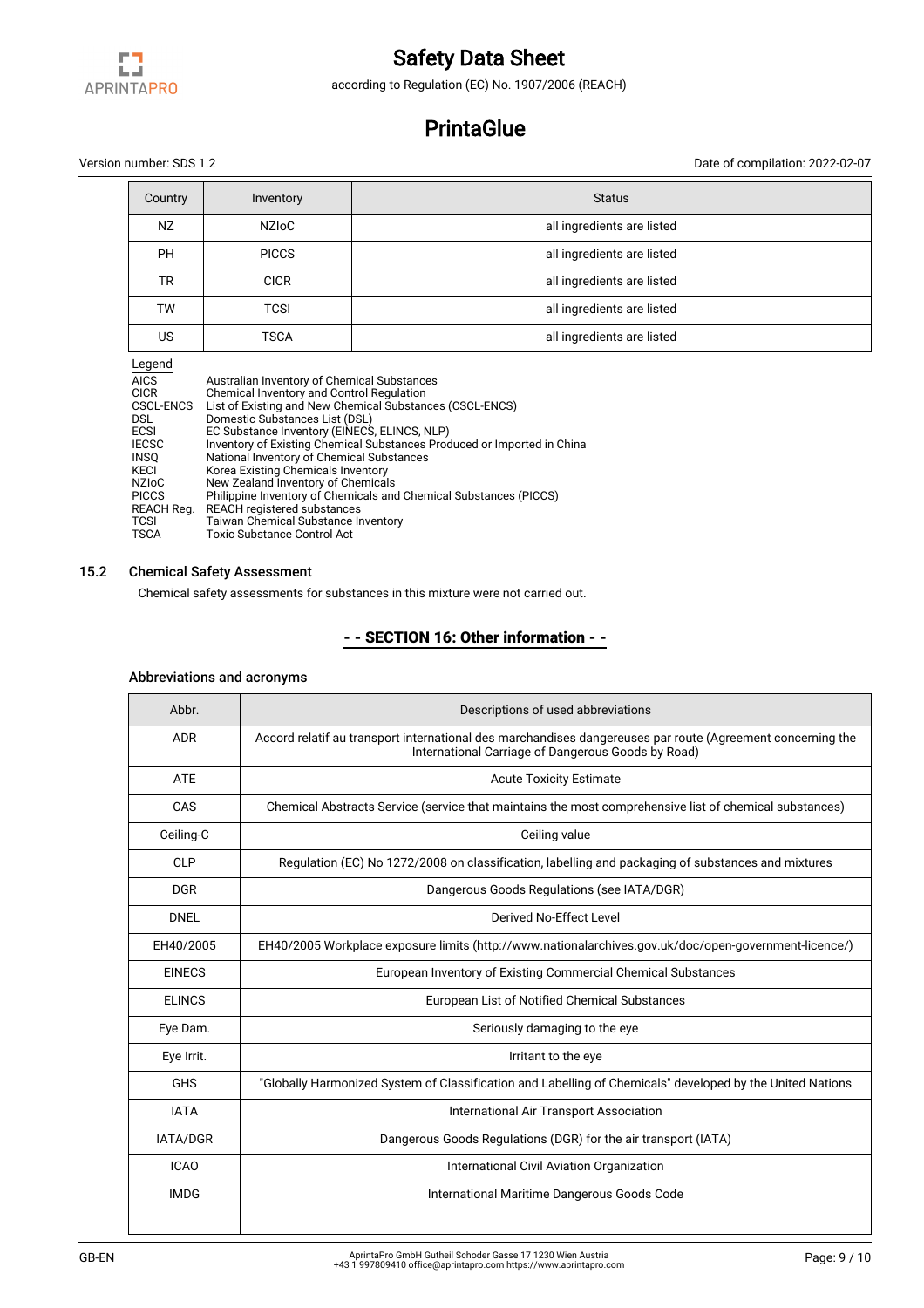

according to Regulation (EC) No. 1907/2006 (REACH)

# **PrintaGlue**

Version number: SDS 1.2 Date of compilation: 2022-02-07

| Country   | Inventory    | <b>Status</b>              |
|-----------|--------------|----------------------------|
| <b>NZ</b> | <b>NZIOC</b> | all ingredients are listed |
| <b>PH</b> | <b>PICCS</b> | all ingredients are listed |
| <b>TR</b> | <b>CICR</b>  | all ingredients are listed |
| TW        | TCSI         | all ingredients are listed |
| US        | <b>TSCA</b>  | all ingredients are listed |

Legend

| Australian Inventory of Chemical Substances                             |
|-------------------------------------------------------------------------|
| Chemical Inventory and Control Regulation                               |
| List of Existing and New Chemical Substances (CSCL-ENCS)                |
| Domestic Substances List (DSL)                                          |
| EC Substance Inventory (EINECS, ELINCS, NLP)                            |
| Inventory of Existing Chemical Substances Produced or Imported in China |
| National Inventory of Chemical Substances                               |
| Korea Existing Chemicals Inventory                                      |
| New Zealand Inventory of Chemicals                                      |
| Philippine Inventory of Chemicals and Chemical Substances (PICCS)       |
| <b>REACH registered substances</b>                                      |
| Taiwan Chemical Substance Inventory                                     |
| Toxic Substance Control Act                                             |
|                                                                         |

# 15.2 Chemical Safety Assessment

Chemical safety assessments for substances in this mixture were not carried out.

# - - SECTION 16: Other information - -

| Abbr.           | Descriptions of used abbreviations                                                                                                                               |
|-----------------|------------------------------------------------------------------------------------------------------------------------------------------------------------------|
| <b>ADR</b>      | Accord relatif au transport international des marchandises dangereuses par route (Agreement concerning the<br>International Carriage of Dangerous Goods by Road) |
| <b>ATE</b>      | <b>Acute Toxicity Estimate</b>                                                                                                                                   |
| CAS             | Chemical Abstracts Service (service that maintains the most comprehensive list of chemical substances)                                                           |
| Ceiling-C       | Ceiling value                                                                                                                                                    |
| CLP             | Regulation (EC) No 1272/2008 on classification, labelling and packaging of substances and mixtures                                                               |
| <b>DGR</b>      | Dangerous Goods Regulations (see IATA/DGR)                                                                                                                       |
| <b>DNEL</b>     | Derived No-Effect Level                                                                                                                                          |
| EH40/2005       | EH40/2005 Workplace exposure limits (http://www.nationalarchives.gov.uk/doc/open-government-licence/)                                                            |
| <b>EINECS</b>   | European Inventory of Existing Commercial Chemical Substances                                                                                                    |
| <b>ELINCS</b>   | European List of Notified Chemical Substances                                                                                                                    |
| Eye Dam.        | Seriously damaging to the eye                                                                                                                                    |
| Eye Irrit.      | Irritant to the eye                                                                                                                                              |
| <b>GHS</b>      | "Globally Harmonized System of Classification and Labelling of Chemicals" developed by the United Nations                                                        |
| <b>IATA</b>     | International Air Transport Association                                                                                                                          |
| <b>IATA/DGR</b> | Dangerous Goods Regulations (DGR) for the air transport (IATA)                                                                                                   |
| <b>ICAO</b>     | International Civil Aviation Organization                                                                                                                        |
| <b>IMDG</b>     | International Maritime Dangerous Goods Code                                                                                                                      |